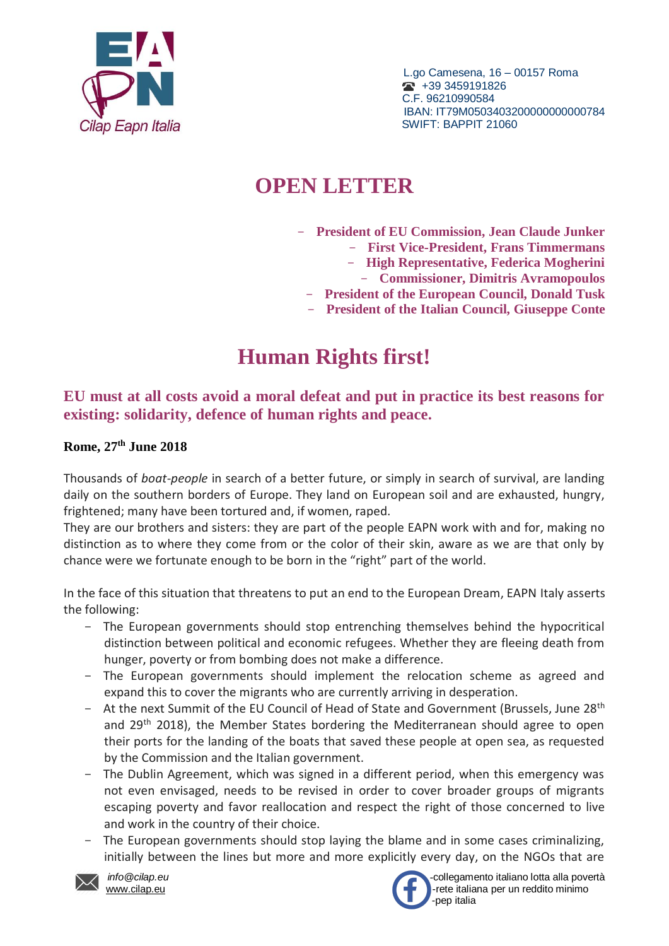

 L.go Camesena, 16 – 00157 Roma  $\bullet$  +39 3459191826 C.F. 96210990584 IBAN: IT79M0503403200000000000784

## **OPEN LETTER**

- **President of EU Commission, Jean Claude Junker**
	- **First Vice-President, Frans Timmermans**
	- **High Representative, Federica Mogherini**
	- **Commissioner, Dimitris Avramopoulos**
	- **President of the European Council, Donald Tusk**
	- **President of the Italian Council, Giuseppe Conte**

## **Human Rights first!**

**EU must at all costs avoid a moral defeat and put in practice its best reasons for existing: solidarity, defence of human rights and peace.**

## **Rome, 27 th June 2018**

Thousands of *boat-people* in search of a better future, or simply in search of survival, are landing daily on the southern borders of Europe. They land on European soil and are exhausted, hungry, frightened; many have been tortured and, if women, raped.

They are our brothers and sisters: they are part of the people EAPN work with and for, making no distinction as to where they come from or the color of their skin, aware as we are that only by chance were we fortunate enough to be born in the "right" part of the world.

In the face of this situation that threatens to put an end to the European Dream, EAPN Italy asserts the following:

- The European governments should stop entrenching themselves behind the hypocritical distinction between political and economic refugees. Whether they are fleeing death from hunger, poverty or from bombing does not make a difference.
- The European governments should implement the relocation scheme as agreed and expand this to cover the migrants who are currently arriving in desperation.
- At the next Summit of the EU Council of Head of State and Government (Brussels, June 28<sup>th</sup> and 29<sup>th</sup> 2018), the Member States bordering the Mediterranean should agree to open their ports for the landing of the boats that saved these people at open sea, as requested by the Commission and the Italian government.
- The Dublin Agreement, which was signed in a different period, when this emergency was not even envisaged, needs to be revised in order to cover broader groups of migrants escaping poverty and favor reallocation and respect the right of those concerned to live and work in the country of their choice.
- The European governments should stop laying the blame and in some cases criminalizing, initially between the lines but more and more explicitly every day, on the NGOs that are





 *info@cilap.eu* -collegamento italiano lotta alla povertà [www.cilap.eu](http://www.cilap.eu/) -rete italiana per un reddito minimo